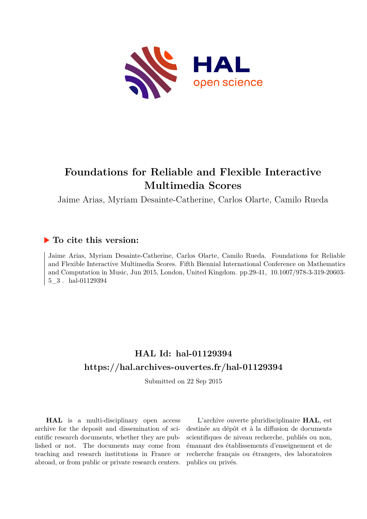

# **Foundations for Reliable and Flexible Interactive Multimedia Scores**

Jaime Arias, Myriam Desainte-Catherine, Carlos Olarte, Camilo Rueda

# **To cite this version:**

Jaime Arias, Myriam Desainte-Catherine, Carlos Olarte, Camilo Rueda. Foundations for Reliable and Flexible Interactive Multimedia Scores. Fifth Biennial International Conference on Mathematics and Computation in Music, Jun 2015, London, United Kingdom. pp.29-41, 10.1007/978-3-319-20603-5 3. hal-01129394

# **HAL Id: hal-01129394 <https://hal.archives-ouvertes.fr/hal-01129394>**

Submitted on 22 Sep 2015

**HAL** is a multi-disciplinary open access archive for the deposit and dissemination of scientific research documents, whether they are published or not. The documents may come from teaching and research institutions in France or abroad, or from public or private research centers.

L'archive ouverte pluridisciplinaire **HAL**, est destinée au dépôt et à la diffusion de documents scientifiques de niveau recherche, publiés ou non, émanant des établissements d'enseignement et de recherche français ou étrangers, des laboratoires publics ou privés.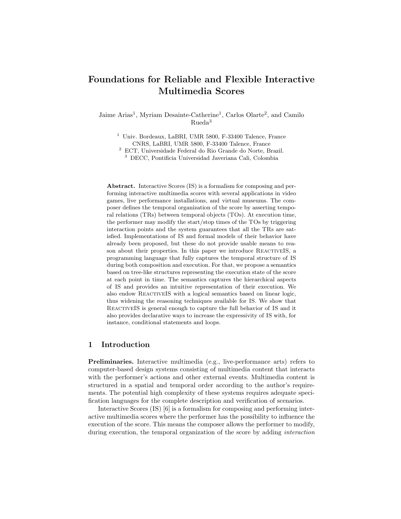# Foundations for Reliable and Flexible Interactive Multimedia Scores

Jaime Arias<sup>1</sup>, Myriam Desainte-Catherine<sup>1</sup>, Carlos Olarte<sup>2</sup>, and Camilo Rueda<sup>3</sup>

<sup>1</sup> Univ. Bordeaux, LaBRI, UMR 5800, F-33400 Talence, France CNRS, LaBRI, UMR 5800, F-33400 Talence, France  $^{\rm 2}$  ECT, Universidade Federal do Rio Grande do Norte, Brazil.

<sup>3</sup> DECC, Pontificia Universidad Javeriana Cali, Colombia

Abstract. Interactive Scores (IS) is a formalism for composing and performing interactive multimedia scores with several applications in video games, live performance installations, and virtual museums. The composer defines the temporal organization of the score by asserting temporal relations (TRs) between temporal objects (TOs). At execution time, the performer may modify the start/stop times of the TOs by triggering interaction points and the system guarantees that all the TRs are satisfied. Implementations of IS and formal models of their behavior have already been proposed, but these do not provide usable means to reason about their properties. In this paper we introduce REACTIVEIS, a programming language that fully captures the temporal structure of IS during both composition and execution. For that, we propose a semantics based on tree-like structures representing the execution state of the score at each point in time. The semantics captures the hierarchical aspects of IS and provides an intuitive representation of their execution. We also endow ReactiveIS with a logical semantics based on linear logic, thus widening the reasoning techniques available for IS. We show that ReactiveIS is general enough to capture the full behavior of IS and it also provides declarative ways to increase the expressivity of IS with, for instance, conditional statements and loops.

## 1 Introduction

Preliminaries. Interactive multimedia (e.g., live-performance arts) refers to computer-based design systems consisting of multimedia content that interacts with the performer's actions and other external events. Multimedia content is structured in a spatial and temporal order according to the author's requirements. The potential high complexity of these systems requires adequate specification languages for the complete description and verification of scenarios.

Interactive Scores (IS) [6] is a formalism for composing and performing interactive multimedia scores where the performer has the possibility to influence the execution of the score. This means the composer allows the performer to modify, during execution, the temporal organization of the score by adding interaction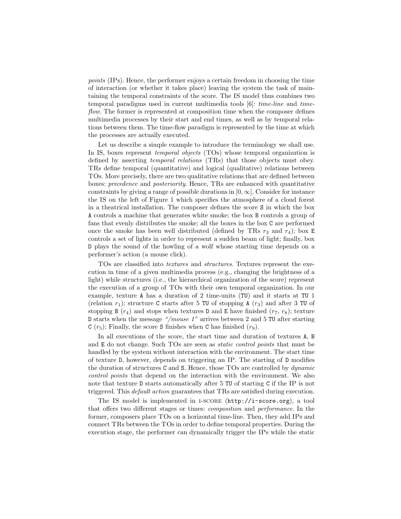points (IPs). Hence, the performer enjoys a certain freedom in choosing the time of interaction (or whether it takes place) leaving the system the task of maintaining the temporal constraints of the score. The IS model thus combines two temporal paradigms used in current multimedia tools [6]: time-line and timeflow. The former is represented at composition time when the composer defines multimedia processes by their start and end times, as well as by temporal relations between them. The time-flow paradigm is represented by the time at which the processes are actually executed.

Let us describe a simple example to introduce the terminology we shall use. In IS, boxes represent *temporal objects* (TOs) whose temporal organization is defined by asserting temporal relations (TRs) that those objects must obey. TRs define temporal (quantitative) and logical (qualitative) relations between TOs. More precisely, there are two qualitative relations that are defined between boxes: precedence and posteriority. Hence, TRs are enhanced with quantitative constraints by giving a range of possible durations in  $[0, \infty]$ . Consider for instance the IS on the left of Figure 1 which specifies the atmosphere of a cloud forest in a theatrical installation. The composer defines the score S in which the box A controls a machine that generates white smoke; the box B controls a group of fans that evenly distributes the smoke; all the boxes in the box C are performed once the smoke has been well distributed (defined by TRs  $r_3$  and  $r_4$ ); box E controls a set of lights in order to represent a sudden beam of light; finally, box D plays the sound of the howling of a wolf whose starting time depends on a performer's action (a mouse click).

TOs are classified into textures and structures. Textures represent the execution in time of a given multimedia process (e.g., changing the brightness of a light) while structures (i.e., the hierarchical organization of the score) represent the execution of a group of TOs with their own temporal organization. In our example, texture A has a duration of 2 time-units (TU) and it starts at TU 1 (relation  $r_1$ ); structure C starts after 5 TU of stopping A  $(r_3)$  and after 3 TU of stopping B  $(r_4)$  and stops when textures D and E have finished  $(r_7, r_8)$ ; texture D starts when the message "/mouse 1" arrives between 2 and 5 TU after starting  $C(r_5)$ ; Finally, the score S finishes when C has finished  $(r_9)$ .

In all executions of the score, the start time and duration of textures A, B and E do not change. Such TOs are seen as static control points that must be handled by the system without interaction with the environment. The start time of texture D, however, depends on triggering an IP. The starting of D modifies the duration of structures C and S. Hence, those TOs are controlled by dynamic control points that depend on the interaction with the environment. We also note that texture D starts automatically after 5 TU of starting C if the IP is not triggered. This default action guarantees that TRs are satisfied during execution.

The IS model is implemented in I-SCORE  $(\text{http://i-score.org})$ , a tool that offers two different stages or times: composition and performance. In the former, composers place TOs on a horizontal time-line. Then, they add IPs and connect TRs between the TOs in order to define temporal properties. During the execution stage, the performer can dynamically trigger the IPs while the static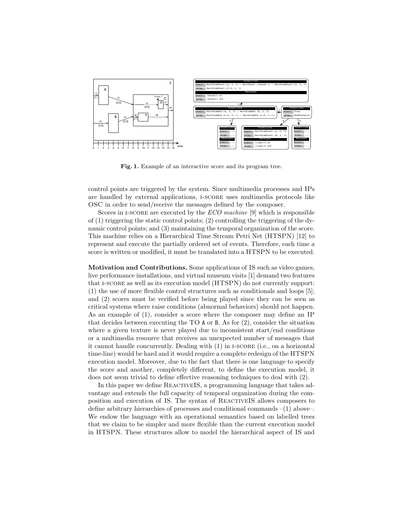

Fig. 1. Example of an interactive score and its program tree.

control points are triggered by the system. Since multimedia processes and IPs are handled by external applications, i-score uses multimedia protocols like OSC in order to send/receive the messages defined by the composer.

Scores in I-SCORE are executed by the ECO machine [9] which is responsible of  $(1)$  triggering the static control points;  $(2)$  controlling the triggering of the dynamic control points; and (3) maintaining the temporal organization of the score. This machine relies on a Hierarchical Time Stream Petri Net (HTSPN) [12] to represent and execute the partially ordered set of events. Therefore, each time a score is written or modified, it must be translated into a HTSPN to be executed.

Motivation and Contributions. Some applications of IS such as video games, live performance installations, and virtual museum visits [1] demand two features that i-score as well as its execution model (HTSPN) do not currently support: (1) the use of more flexible control structures such as conditionals and loops [5]; and (2) scores must be verified before being played since they can be seen as critical systems where raise conditions (abnormal behaviors) should not happen. As an example of (1), consider a score where the composer may define an IP that decides between executing the TO A or B. As for (2), consider the situation where a given texture is never played due to inconsistent start/end conditions or a multimedia resource that receives an unexpected number of messages that it cannot handle concurrently. Dealing with (1) in i-score (i.e., on a horizontal time-line) would be hard and it would require a complete redesign of the HTSPN execution model. Moreover, due to the fact that there is one language to specify the score and another, completely different, to define the execution model, it does not seem trivial to define effective reasoning techniques to deal with (2).

In this paper we define REACTIVEIS, a programming language that takes advantage and extends the full capacity of temporal organization during the composition and execution of IS. The syntax of ReactiveIS allows composers to define arbitrary hierarchies of processes and conditional commands  $-(1)$  above-We endow the language with an operational semantics based on labelled trees that we claim to be simpler and more flexible than the current execution model in HTSPN. These structures allow to model the hierarchical aspect of IS and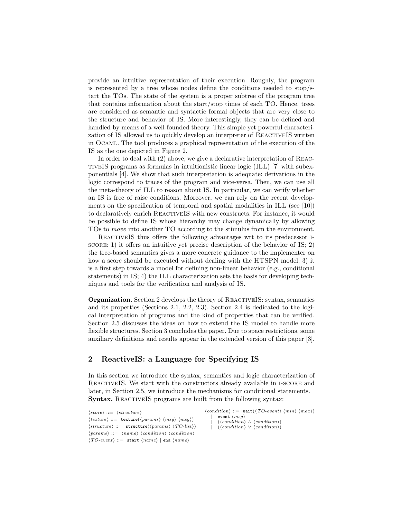provide an intuitive representation of their execution. Roughly, the program is represented by a tree whose nodes define the conditions needed to stop/start the TOs. The state of the system is a proper subtree of the program tree that contains information about the start/stop times of each TO. Hence, trees are considered as semantic and syntactic formal objects that are very close to the structure and behavior of IS. More interestingly, they can be defined and handled by means of a well-founded theory. This simple yet powerful characterization of IS allowed us to quickly develop an interpreter of ReactiveIS written in Ocaml. The tool produces a graphical representation of the execution of the IS as the one depicted in Figure 2.

In order to deal with (2) above, we give a declarative interpretation of ReactiveIS programs as formulas in intuitionistic linear logic (ILL) [7] with subexponentials [4]. We show that such interpretation is adequate: derivations in the logic correspond to traces of the program and vice-versa. Then, we can use all the meta-theory of ILL to reason about IS. In particular, we can verify whether an IS is free of raise conditions. Moreover, we can rely on the recent developments on the specification of temporal and spatial modalities in ILL (see [10]) to declaratively enrich REACTIVEIS with new constructs. For instance, it would be possible to define IS whose hierarchy may change dynamically by allowing TOs to move into another TO according to the stimulus from the environment.

ReactiveIS thus offers the following advantages wrt to its predecessor iscore: 1) it offers an intuitive yet precise description of the behavior of IS; 2) the tree-based semantics gives a more concrete guidance to the implementer on how a score should be executed without dealing with the HTSPN model; 3) it is a first step towards a model for defining non-linear behavior (e.g., conditional statements) in IS; 4) the ILL characterization sets the basis for developing techniques and tools for the verification and analysis of IS.

Organization. Section 2 develops the theory of ReactiveIS: syntax, semantics and its properties (Sections 2.1, 2.2, 2.3). Section 2.4 is dedicated to the logical interpretation of programs and the kind of properties that can be verified. Section 2.5 discusses the ideas on how to extend the IS model to handle more flexible structures. Section 3 concludes the paper. Due to space restrictions, some auxiliary definitions and results appear in the extended version of this paper [3].

# 2 ReactiveIS: a Language for Specifying IS

In this section we introduce the syntax, semantics and logic characterization of ReactiveIS. We start with the constructors already available in i-score and later, in Section 2.5, we introduce the mechanisms for conditional statements. Syntax. REACTIVEIS programs are built from the following syntax:

 $\langle score \rangle ::= \langle structure \rangle$  $\langle \text{texture} \rangle ::= \text{ texture}(\langle \text{params} \rangle \langle \text{msg} \rangle \langle \text{msg} \rangle)$  $\langle structure \rangle ::=$  structure( $\langle parameters \rangle \langle TO-list \rangle$ )  $\langle params \rangle ::= \langle name \rangle \langle condition \rangle \langle condition \rangle$  $\langle TO\text{-}event \rangle ::= \text{start} \langle name \rangle | \text{end} \langle name \rangle$ 

```
\langle condition \rangle ::= \text{ wait}(\langle \textit{TO-event} \rangle \langle \textit{min} \rangle \langle \textit{max} \rangle)event \langle msg \rangle({\langle condition \rangle \wedge {\langle condition \rangle}})(\langle condition \rangle \vee \langle condition \rangle)
```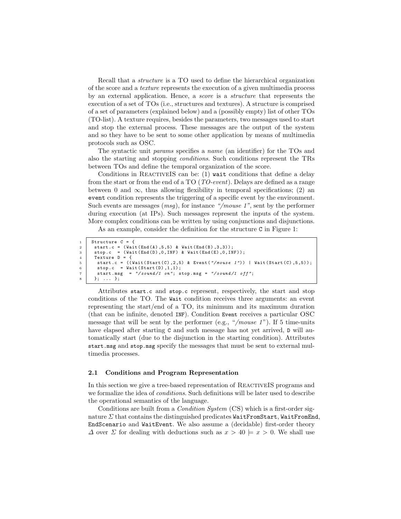Recall that a structure is a TO used to define the hierarchical organization of the score and a texture represents the execution of a given multimedia process by an external application. Hence, a score is a structure that represents the execution of a set of TOs (i.e., structures and textures). A structure is comprised of a set of parameters (explained below) and a (possibly empty) list of other TOs (TO-list). A texture requires, besides the parameters, two messages used to start and stop the external process. These messages are the output of the system and so they have to be sent to some other application by means of multimedia protocols such as OSC.

The syntactic unit params specifies a name (an identifier) for the TOs and also the starting and stopping conditions. Such conditions represent the TRs between TOs and define the temporal organization of the score.

Conditions in REACTIVEIS can be:  $(1)$  wait conditions that define a delay from the start or from the end of a TO (TO-event). Delays are defined as a range between 0 and  $\infty$ , thus allowing flexibility in temporal specifications; (2) an event condition represents the triggering of a specific event by the environment. Such events are messages  $(msg)$ , for instance "/mouse 1", sent by the performer during execution (at IPs). Such messages represent the inputs of the system. More complex conditions can be written by using conjunctions and disjunctions.

As an example, consider the definition for the structure C in Figure 1:

```
\begin{array}{c|c} 1 & \text{Structure } C = \{ \\ 2 & \text{start.c} = (\text{Wait}) \end{array}\begin{array}{c|c} 2 & \text{start.c} = (\text{Wait}(\text{End}(\text{A}), 5, 5) & \text{Wait}(\text{End}(\text{B}), 3, 3)); \\ 3 & \text{stop.c} = (\text{Wait}(\text{End}(\text{D}), 0, \text{INF}) & \text{Wait}(\text{End}(\text{E}), 0, \text{IN}) \end{array}stop.c = (Wait(End(D), 0, INF) & Wait(End(E), 0, INF));\begin{array}{c|c} 4 & \text{Texture D} = \{ \\ 5 & \text{start.c} = \end{array}5 start.c = ((Wait(Start(C), 2,5) & Event("/mouse 1")) | Wait(Start(C), 5, 5));<br>6 stop.c = Wait(Start(D), 1, 1);
6 stop.c = Wait (Start (D), 1, 1);<br>
start.msg = "/sound/1 on"; s
                                     = "/sound/1 on"; stop.msg = "/sound/1 off";
           8 }; ... };
```
Attributes start.c and stop.c represent, respectively, the start and stop conditions of the TO. The Wait condition receives three arguments: an event representing the start/end of a TO, its minimum and its maximum duration (that can be infinite, denoted INF). Condition Event receives a particular OSC message that will be sent by the performer (e.g., "/mouse  $1$ "). If 5 time-units have elapsed after starting C and such message has not yet arrived, D will automatically start (due to the disjunction in the starting condition). Attributes start.msg and stop.msg specify the messages that must be sent to external multimedia processes.

#### 2.1 Conditions and Program Representation

In this section we give a tree-based representation of REACTIVEIS programs and we formalize the idea of conditions. Such definitions will be later used to describe the operational semantics of the language.

Conditions are built from a Condition System (CS) which is a first-order signature  $\Sigma$  that contains the distinguished predicates WaitFromStart, WaitFromEnd, EndScenario and WaitEvent. We also assume a (decidable) first-order theory  $\Delta$  over  $\Sigma$  for dealing with deductions such as  $x > 40 \models x > 0$ . We shall use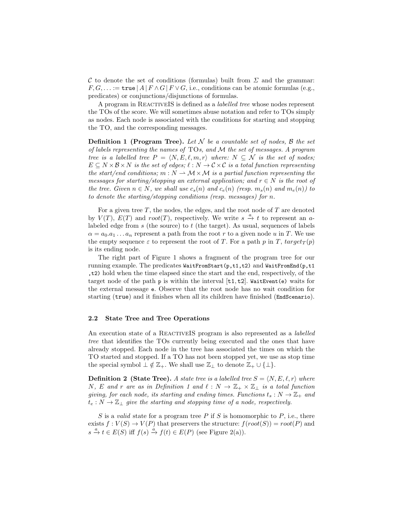C to denote the set of conditions (formulas) built from  $\Sigma$  and the grammar:  $F, G, \ldots :=$  true  $|A| F \wedge G | F \vee G$ , i.e., conditions can be atomic formulas (e.g., predicates) or conjunctions/disjunctions of formulas.

A program in ReactiveIS is defined as a labelled tree whose nodes represent the TOs of the score. We will sometimes abuse notation and refer to TOs simply as nodes. Each node is associated with the conditions for starting and stopping the TO, and the corresponding messages.

**Definition 1 (Program Tree).** Let N be a countable set of nodes, B the set of labels representing the names of  $TOS$ , and M the set of messages. A program tree is a labelled tree  $P = \langle N, E, \ell, m, r \rangle$  where:  $N \subseteq \mathcal{N}$  is the set of nodes;  $E \subseteq N \times B \times N$  is the set of edges;  $\ell : N \to C \times C$  is a total function representing the start/end conditions;  $m : N \to \mathcal{M} \times \mathcal{M}$  is a partial function representing the messages for starting/stopping an external application; and  $r \in N$  is the root of the tree. Given  $n \in N$ , we shall use  $c_s(n)$  and  $c_e(n)$  (resp.  $m_s(n)$  and  $m_e(n)$ ) to to denote the starting/stopping conditions (resp. messages) for n.

For a given tree  $T$ , the nodes, the edges, and the root node of  $T$  are denoted by  $V(T)$ ,  $E(T)$  and root(T), respectively. We write  $s \stackrel{a}{\rightarrow} t$  to represent an alabeled edge from  $s$  (the source) to  $t$  (the target). As usual, sequences of labels  $\alpha = a_0 \cdot a_1 \ldots a_n$  represent a path from the root r to a given node u in T. We use the empty sequence  $\varepsilon$  to represent the root of T. For a path p in T, target  $T(p)$ is its ending node.

The right part of Figure 1 shows a fragment of the program tree for our running example. The predicates WaitFromStart(p,t1,t2) and WaitFromEnd(p,t1 ,t2) hold when the time elapsed since the start and the end, respectively, of the target node of the path  $p$  is within the interval  $[t1, t2]$ . WaitEvent(e) waits for the external message e. Observe that the root node has no wait condition for starting (true) and it finishes when all its children have finished (EndScenario).

#### 2.2 State Tree and Tree Operations

An execution state of a REACTIVEIS program is also represented as a *labelled* tree that identifies the TOs currently being executed and the ones that have already stopped. Each node in the tree has associated the times on which the TO started and stopped. If a TO has not been stopped yet, we use as stop time the special symbol  $\perp \notin \mathbb{Z}_+$ . We shall use  $\mathbb{Z}_+$  to denote  $\mathbb{Z}_+ \cup \{\perp\}.$ 

**Definition 2** (State Tree). A state tree is a labelled tree  $S = \langle N, E, \ell, r \rangle$  where N, E and r are as in Definition 1 and  $\ell : N \to \mathbb{Z}_+ \times \mathbb{Z}_+$  is a total function giving, for each node, its starting and ending times. Functions  $t_s : N \to \mathbb{Z}_+$  and  $t_e: N \to \mathbb{Z}_+$  give the starting and stopping time of a node, respectively.

S is a valid state for a program tree P if S is homomorphic to P, i.e., there exists  $f: V(S) \to V(P)$  that preservers the structure:  $f(root(S)) = root(P)$  and  $s \xrightarrow{a} t \in E(S)$  iff  $f(s) \xrightarrow{a} f(t) \in E(P)$  (see Figure 2(a)).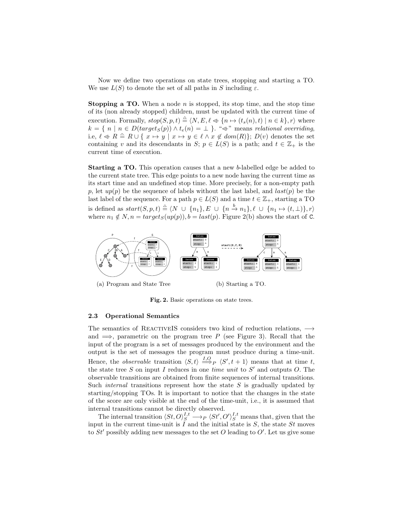Now we define two operations on state trees, stopping and starting a TO. We use  $L(S)$  to denote the set of all paths in S including  $\varepsilon$ .

**Stopping a TO.** When a node  $n$  is stopped, its stop time, and the stop time of its (non already stopped) children, must be updated with the current time of execution. Formally,  $stop(S, p, t) \triangleq \langle N, E, \ell \Leftrightarrow \{n \mapsto (t_s(n), t) \mid n \in k\}, r \rangle$  where  $k = \{ n \mid n \in D(target_S(p)) \land t_e(n) = \bot \}$ . " $\Leftrightarrow$ " means relational overriding, i.e,  $\ell \Leftrightarrow R \cong R \cup \{ x \mapsto y \mid x \mapsto y \in \ell \land x \notin dom(R)\}; D(v)$  denotes the set containing v and its descendants in S;  $p \in L(S)$  is a path; and  $t \in \mathbb{Z}_+$  is the current time of execution.

Starting a TO. This operation causes that a new b-labelled edge be added to the current state tree. This edge points to a new node having the current time as its start time and an undefined stop time. More precisely, for a non-empty path p, let  $up(p)$  be the sequence of labels without the last label, and  $last(p)$  be the last label of the sequence. For a path  $p \in L(S)$  and a time  $t \in \mathbb{Z}_+$ , starting a TO is defined as  $start(S, p, t) \triangleq \langle N \cup \{n_1\}, E \cup \{n \stackrel{b}{\rightarrow} n_1\}, \ell \cup \{n_1 \mapsto (t, \perp)\}, r \rangle$ where  $n_1 \notin N$ ,  $n = target_S(up(p)), b = last(p)$ . Figure 2(b) shows the start of C.



Fig. 2. Basic operations on state trees.

#### 2.3 Operational Semantics

The semantics of REACTIVEIS considers two kind of reduction relations,  $\rightarrow$ and  $\implies$ , parametric on the program tree P (see Figure 3). Recall that the input of the program is a set of messages produced by the environment and the output is the set of messages the program must produce during a time-unit. Hence, the *observable* transition  $\langle S, t \rangle \stackrel{I, O}{\Longrightarrow}_P \langle S', t + 1 \rangle$  means that at time t, the state tree  $S$  on input  $I$  reduces in one time unit to  $S'$  and outputs  $O$ . The observable transitions are obtained from finite sequences of internal transitions. Such *internal* transitions represent how the state  $S$  is gradually updated by starting/stopping TOs. It is important to notice that the changes in the state of the score are only visible at the end of the time-unit, i.e., it is assumed that internal transitions cannot be directly observed.

The internal transition  $\langle St, O \rangle_S^{I,t} \longrightarrow_P \langle St', O' \rangle_S^{I,t}$  means that, given that the input in the current time-unit is  $\overline{I}$  and the initial state is  $S$ , the state  $St$  moves to  $St'$  possibly adding new messages to the set O leading to O'. Let us give some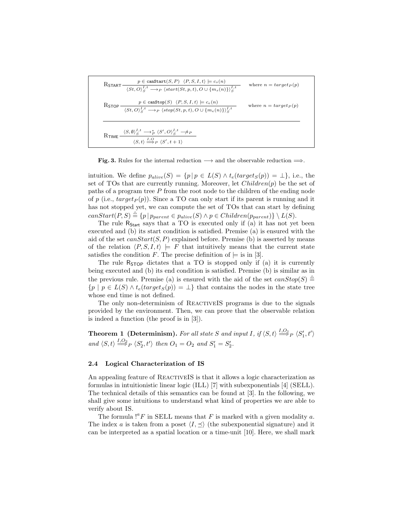RSTART 
$$
\frac{p \in \text{caastart}(S, P) \langle P, S, I, t \rangle \models c_s(n)}{\langle St, O \rangle_S^{I,t} \rightarrow_P \langle start(St, p, t), O \cup \{m_s(n)\} \rangle_S^{I,t}}
$$
 where  $n = target_P(p)$   
\nRSTOP  $\frac{p \in \text{canstop}(S) \langle P, S, I, t \rangle \models c_e(n)}{\langle St, O \rangle_S^{I,t} \rightarrow_P \langle stop(St, p, t), O \cup \{m_e(n)\} \rangle_S^{I,t}}$  where  $n = target_P(p)$   
\nRTIME  $\frac{\langle S, \emptyset \rangle_S^{I,t} \rightarrow_P^* \langle S', O \rangle_S^{I,t} \rightarrow_P}{\langle S, t \rangle \stackrel{I, O}{\Longrightarrow} P \langle S', t + 1 \rangle}$ 

**Fig. 3.** Rules for the internal reduction  $\longrightarrow$  and the observable reduction  $\Longrightarrow$ .

intuition. We define  $p_{alive}(S) = \{p | p \in L(S) \land t_e(target_S(p)) = \bot\}$ , i.e., the set of TOs that are currently running. Moreover, let  $Children(p)$  be the set of paths of a program tree  $P$  from the root node to the children of the ending node of p (i.e.,  $target_P(p)$ ). Since a TO can only start if its parent is running and it has not stopped yet, we can compute the set of TOs that can start by defining  $canStart(P, S) \triangleq \{p \mid p_{parent} \in p_{alive}(S) \land p \in Children(p_{parent})\} \setminus L(S).$ 

The rule R<sub>Start</sub> says that a TO is executed only if (a) it has not yet been executed and (b) its start condition is satisfied. Premise (a) is ensured with the aid of the set  $canStart(S, P)$  explained before. Premise (b) is asserted by means of the relation  $\langle P, S, I, t \rangle \models F$  that intuitively means that the current state satisfies the condition F. The precise definition of  $\models$  is in [3].

The rule  $R_{\text{STOP}}$  dictates that a TO is stopped only if (a) it is currently being executed and (b) its end condition is satisfied. Premise (b) is similar as in the previous rule. Premise (a) is ensured with the aid of the set  $canStop(S) \triangleq$  ${p \mid p \in L(S) \land t_e(target_S(p)) = \perp}$  that contains the nodes in the state tree whose end time is not defined.

The only non-determinism of REACTIVEIS programs is due to the signals provided by the environment. Then, we can prove that the observable relation is indeed a function (the proof is in [3]).

**Theorem 1 (Determinism).** For all state S and input I, if  $\langle S, t \rangle \stackrel{I, O_1}{\Longrightarrow}_P \langle S_1', t' \rangle$ and  $\langle S, t \rangle \stackrel{I, O_2}{\Longrightarrow}_P \langle S_2', t' \rangle$  then  $O_1 = O_2$  and  $S_1' = S_2'$ .

#### 2.4 Logical Characterization of IS

An appealing feature of REACTIVEIS is that it allows a logic characterization as formulas in intuitionistic linear logic (ILL) [7] with subexponentials [4] (SELL). The technical details of this semantics can be found at [3]. In the following, we shall give some intuitions to understand what kind of properties we are able to verify about IS.

The formula  $!^aF$  in SELL means that F is marked with a given modality a. The index a is taken from a poset  $\langle I, \preceq \rangle$  (the subexponential signature) and it can be interpreted as a spatial location or a time-unit [10]. Here, we shall mark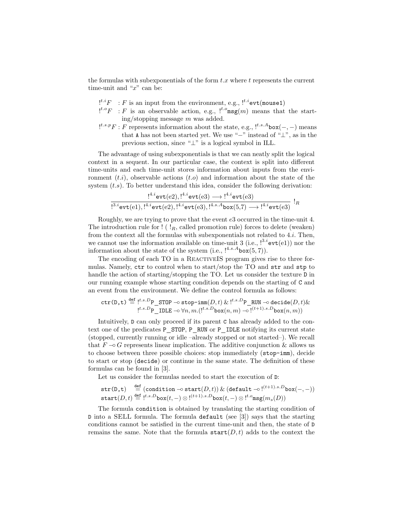the formulas with subexponentials of the form  $t.x$  where  $t$  represents the current time-unit and " $x$ " can be:

- $e^{i \cdot i}F$ : F is an input from the environment, e.g.,  $e^{i \cdot i}$ evt(mouse1)
- $e^{i \cdot \theta}F : F$  is an observable action, e.g.,  $e^{i \cdot \theta} \text{msg}(m)$  means that the starting/stopping message m was added.
- $e^{i.s.p}F : F$  represents information about the state, e.g.,  $e^{i.s.A}$ box $(-,-)$  means that A has not been started yet. We use "−" instead of " $\perp$ ", as in the previous section, since "⊥" is a logical symbol in ILL.

The advantage of using subexponentials is that we can neatly split the logical context in a sequent. In our particular case, the context is split into different time-units and each time-unit stores information about inputs from the environment  $(t,i)$ , observable actions  $(t.o)$  and information about the state of the system  $(t.s)$ . To better understand this idea, consider the following derivation:

$$
\frac{!^{4.i} \text{evt}(e2),!^{4.i} \text{evt}(e3) \longrightarrow!^{4.i} \text{evt}(e3)}{!^{3.i} \text{evt}(e1),!^{4.i} \text{evt}(e2),!^{4.i} \text{evt}(e3),!^{4.s.A} \text{box}(5,7) \longrightarrow!^{4.i} \text{evt}(e3)} \, !_R
$$

Roughly, we are trying to prove that the event e3 occurred in the time-unit 4. The introduction rule for  $!$  ( $!_R$ , called promotion rule) forces to delete (weaken) from the context all the formulas with subexponentials not related to  $4.i$ . Then, we cannot use the information available on time-unit 3 (i.e.,  $!^{3.i}$ evt(e1)) nor the information about the state of the system (i.e.,  $!^{4.s.A}$ box $(5, 7)$ ).

The encoding of each TO in a REACTIVEIS program gives rise to three formulas. Namely, ctr to control when to start/stop the TO and str and stp to handle the action of starting/stopping the TO. Let us consider the texture D in our running example whose starting condition depends on the starting of C and an event from the environment. We define the control formula as follows:

$$
\texttt{ctr}(D,\texttt{t}) \stackrel{\text{def}}{=} \stackrel{\text{!}{t.s.D}}{=} \stackrel{\text{!}{s.S.D}}{=} \texttt{STOP } \multimap \texttt{stop-imm}(D,t) \ \& \ \stackrel{\text{!}{t.s.D}}{=} \texttt{RUN } \multimap \texttt{decide}(D,t) \& \ \stackrel{\text{!}{t.s.D}}{=} \texttt{IDLE } \multimap \forall n,m.(\stackrel{\text{!}{t.s.D}}{>} \texttt{box}(n,m) \multimap \stackrel{\text{!}{t+1).s.D}}{=} \texttt{box}(n,m))
$$

Intuitively, D can only proceed if its parent C has already added to the context one of the predicates P\_STOP, P\_RUN or P\_IDLE notifying its current state (stopped, currently running or idle –already stopped or not started–). We recall that  $F \nightharpoonup G$  represents linear implication. The additive conjunction & allows us to choose between three possible choices: stop immediately (stop-imm), decide to start or stop (decide) or continue in the same state. The definition of these formulas can be found in [3].

Let us consider the formulas needed to start the execution of  $D$ :

$$
\begin{array}{ll}\texttt{str}(\texttt{D},\texttt{t}) & \stackrel{\texttt{def}}{=} (\texttt{condition} \multimap \texttt{start}(D,t)) \ \& \ (\texttt{default} \multimap !^{(t+1).s.D} \texttt{box}(-,-))\\ \texttt{start}(D,t) \stackrel{\texttt{def}}{=} !^{t.s.D} \texttt{box}(t,-) \otimes !^{(t+1).s.D} \texttt{box}(t,-) \otimes !^{t.o} \texttt{msg}(m_s(D))\end{array}
$$

The formula condition is obtained by translating the starting condition of D into a SELL formula. The formula default (see [3]) says that the starting conditions cannot be satisfied in the current time-unit and then, the state of D remains the same. Note that the formula  $\texttt{start}(D, t)$  adds to the context the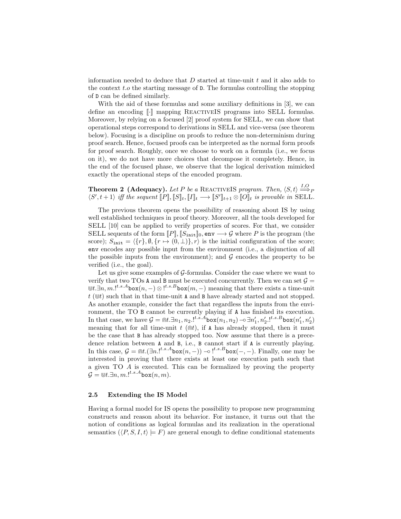information needed to deduce that  $D$  started at time-unit  $t$  and it also adds to the context t.o the starting message of D. The formulas controlling the stopping of D can be defined similarly.

With the aid of these formulas and some auxiliary definitions in [3], we can define an encoding  $\lbrack \cdot \rbrack$  mapping REACTIVEIS programs into SELL formulas. Moreover, by relying on a focused [2] proof system for SELL, we can show that operational steps correspond to derivations in SELL and vice-versa (see theorem below). Focusing is a discipline on proofs to reduce the non-determinism during proof search. Hence, focused proofs can be interpreted as the normal form proofs for proof search. Roughly, once we choose to work on a formula (i.e., we focus on it), we do not have more choices that decompose it completely. Hence, in the end of the focused phase, we observe that the logical derivation mimicked exactly the operational steps of the encoded program.

**Theorem 2 (Adequacy).** Let P be a REACTIVEIS program. Then,  $\langle S, t \rangle \stackrel{I, O}{\Longrightarrow}_P$  $\langle S', t+1 \rangle$  iff the sequent  $[P], [S]_t, [I]_t \longrightarrow [S']_{t+1} \otimes [O]_t$  is provable in SELL.

The previous theorem opens the possibility of reasoning about IS by using well established techniques in proof theory. Moreover, all the tools developed for SELL [10] can be applied to verify properties of scores. For that, we consider SELL sequents of the form  $[P], [S_{\text{init}}]_0$ , env  $\longrightarrow \mathcal{G}$  where P is the program (the score);  $S_{\text{init}} = \{\{r\}, \emptyset, \{r \mapsto (0, \perp)\}, r\}$  is the initial configuration of the score; env encodes any possible input from the environment (i.e., a disjunction of all the possible inputs from the environment); and  $G$  encodes the property to be verified (i.e., the goal).

Let us give some examples of  $G$ -formulas. Consider the case where we want to verify that two TOs A and B must be executed concurrently. Then we can set  $\mathcal{G} =$  $\mathbb{U}t.\exists n,m.$ <sup>t.s.A</sup>box $(n,-)\otimes$ <sup>t.s.B</sup>box $(m,-)$  meaning that there exists a time-unit  $t \left( \mathbb{U} t \right)$  such that in that time-unit A and B have already started and not stopped. As another example, consider the fact that regardless the inputs from the environment, the TO B cannot be currently playing if A has finished its execution. In that case, we have  $\mathcal{G} = \bigcap L \cdot \exists n_1, n_2$ .<sup>[t.s.A</sup>box $(n_1, n_2) \negthinspace \negthinspace \negthinspace \negthinspace \negthinspace \negthinspace \exists n'_1, n'_2$ .[t.s.B<sub>box</sub> $(n'_1, n'_2)$ meaning that for all time-unit  $t \in (\mathbb{R}^d)$ , if A has already stopped, then it must be the case that B has already stopped too. Now assume that there is a precedence relation between A and B, i.e., B cannot start if A is currently playing. In this case,  $\mathcal{G} = \mathbb{R}^t \cdot (\exists n \cdot l^{t.s.A} \text{box}(n,-)) - \mathbb{R}^{t.s.B} \text{box}(-,-)$ . Finally, one may be interested in proving that there exists at least one execution path such that a given TO A is executed. This can be formalized by proving the property  $\mathcal{G} = \Cup{t}.\exists n, m. !^{t.s.A}$ box $(n, m).$ 

#### 2.5 Extending the IS Model

Having a formal model for IS opens the possibility to propose new programming constructs and reason about its behavior. For instance, it turns out that the notion of conditions as logical formulas and its realization in the operational semantics  $(\langle P, S, I, t \rangle \models F)$  are general enough to define conditional statements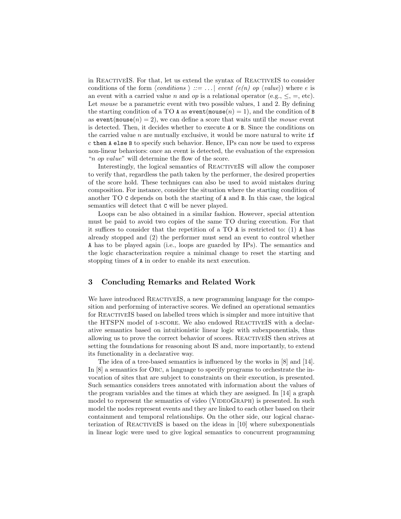in ReactiveIS. For that, let us extend the syntax of ReactiveIS to consider conditions of the form  $\langle conditions \rangle ::= \ldots |$  event  $(e(n)$  op  $\langle value \rangle)$  where e is an event with a carried value n and op is a relational operator (e.g.,  $\leq$ , =, etc). Let mouse be a parametric event with two possible values, 1 and 2. By defining the starting condition of a TO A as  $event(mouse(n) = 1)$ , and the condition of B as event(mouse(n) = 2), we can define a score that waits until the mouse event is detected. Then, it decides whether to execute A or B. Since the conditions on the carried value  $n$  are mutually exclusive, it would be more natural to write  $if$ c then A else B to specify such behavior. Hence, IPs can now be used to express non-linear behaviors: once an event is detected, the evaluation of the expression "n op value" will determine the flow of the score.

Interestingly, the logical semantics of REACTIVEIS will allow the composer to verify that, regardless the path taken by the performer, the desired properties of the score hold. These techniques can also be used to avoid mistakes during composition. For instance, consider the situation where the starting condition of another TO C depends on both the starting of A and B. In this case, the logical semantics will detect that C will be never played.

Loops can be also obtained in a similar fashion. However, special attention must be paid to avoid two copies of the same TO during execution. For that it suffices to consider that the repetition of a  $TO$  A is restricted to: (1) A has already stopped and (2) the performer must send an event to control whether A has to be played again (i.e., loops are guarded by IPs). The semantics and the logic characterization require a minimal change to reset the starting and stopping times of A in order to enable its next execution.

# 3 Concluding Remarks and Related Work

We have introduced REACTIVEIS, a new programming language for the composition and performing of interactive scores. We defined an operational semantics for ReactiveIS based on labelled trees which is simpler and more intuitive that the HTSPN model of I-SCORE. We also endowed REACTIVEIS with a declarative semantics based on intuitionistic linear logic with subexponentials, thus allowing us to prove the correct behavior of scores. ReactiveIS then strives at setting the foundations for reasoning about IS and, more importantly, to extend its functionality in a declarative way.

The idea of a tree-based semantics is influenced by the works in [8] and [14]. In [8] a semantics for Orc, a language to specify programs to orchestrate the invocation of sites that are subject to constraints on their execution, is presented. Such semantics considers trees annotated with information about the values of the program variables and the times at which they are assigned. In [14] a graph model to represent the semantics of video (VIDEOGRAPH) is presented. In such model the nodes represent events and they are linked to each other based on their containment and temporal relationships. On the other side, our logical characterization of REACTIVEIS is based on the ideas in [10] where subexponentials in linear logic were used to give logical semantics to concurrent programming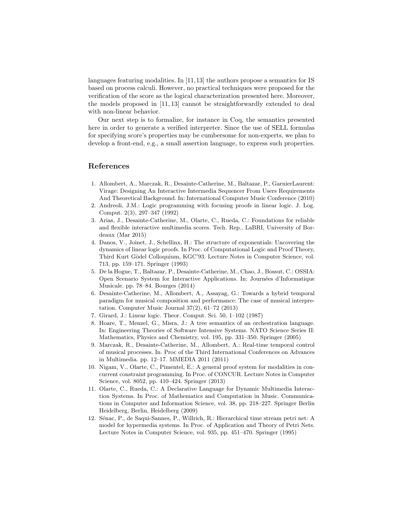languages featuring modalities. In [11,13] the authors propose a semantics for IS based on process calculi. However, no practical techniques were proposed for the verification of the score as the logical characterization presented here. Moreover, the models proposed in [11, 13] cannot be straightforwardly extended to deal with non-linear behavior.

Our next step is to formalize, for instance in Coq, the semantics presented here in order to generate a verified interpreter. Since the use of SELL formulas for specifying score's properties may be cumbersome for non-experts, we plan to develop a front-end, e.g., a small assertion language, to express such properties.

# References

- 1. Allombert, A., Marczak, R., Desainte-Catherine, M., Baltazar, P., GarnierLaurent: Virage: Designing An Interactive Intermedia Sequencer From Users Requirements And Theoretical Background. In: International Computer Music Conference (2010)
- 2. Andreoli, J.M.: Logic programming with focusing proofs in linear logic. J. Log. Comput. 2(3), 297–347 (1992)
- 3. Arias, J., Desainte-Catherine, M., Olarte, C., Rueda, C.: Foundations for reliable and flexible interactive multimedia scores. Tech. Rep., LaBRI, University of Bordeaux (Mar 2015)
- 4. Danos, V., Joinet, J., Schellinx, H.: The structure of exponentials: Uncovering the dynamics of linear logic proofs. In Proc. of Computational Logic and Proof Theory, Third Kurt Gödel Colloquium, KGC'93. Lecture Notes in Computer Science, vol. 713, pp. 159–171. Springer (1993)
- 5. De la Hogue, T., Baltazar, P., Desainte-Catherine, M., Chao, J., Bossut, C.: OSSIA: Open Scenario System for Interactive Applications. In: Journ´ees d'Informatique Musicale. pp. 78–84. Bourges (2014)
- 6. Desainte-Catherine, M., Allombert, A., Assayag, G.: Towards a hybrid temporal paradigm for musical composition and performance: The case of musical interpretation. Computer Music Journal 37(2), 61–72 (2013)
- 7. Girard, J.: Linear logic. Theor. Comput. Sci. 50, 1–102 (1987)
- 8. Hoare, T., Menzel, G., Misra, J.: A tree semantics of an orchestration language. In: Engineering Theories of Software Intensive Systems. NATO Science Series II: Mathematics, Physics and Chemistry, vol. 195, pp. 331–350. Springer (2005)
- 9. Marczak, R., Desainte-Catherine, M., Allombert, A.: Real-time temporal control of musical processes. In. Proc of the Third International Conferences on Advances in Multimedia. pp. 12–17. MMEDIA 2011 (2011)
- 10. Nigam, V., Olarte, C., Pimentel, E.: A general proof system for modalities in concurrent constraint programming. In Proc. of CONCUR. Lecture Notes in Computer Science, vol. 8052, pp. 410–424. Springer (2013)
- 11. Olarte, C., Rueda, C.: A Declarative Language for Dynamic Multimedia Interaction Systems. In Proc. of Mathematics and Computation in Music. Communications in Computer and Information Science, vol. 38, pp. 218–227. Springer Berlin Heidelberg, Berlin, Heidelberg (2009)
- 12. Sénac, P., de Saqui-Sannes, P., Willrich, R.: Hierarchical time stream petri net: A model for hypermedia systems. In Proc. of Application and Theory of Petri Nets. Lecture Notes in Computer Science, vol. 935, pp. 451–470. Springer (1995)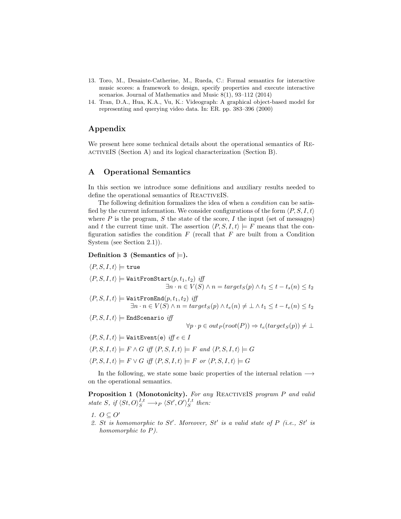- 13. Toro, M., Desainte-Catherine, M., Rueda, C.: Formal semantics for interactive music scores: a framework to design, specify properties and execute interactive scenarios. Journal of Mathematics and Music 8(1), 93–112 (2014)
- 14. Tran, D.A., Hua, K.A., Vu, K.: Videograph: A graphical object-based model for representing and querying video data. In: ER. pp. 383–396 (2000)

# Appendix

We present here some technical details about the operational semantics of Re-ACTIVEIS (Section A) and its logical characterization (Section B).

## A Operational Semantics

In this section we introduce some definitions and auxiliary results needed to define the operational semantics of REACTIVEIS.

The following definition formalizes the idea of when a *condition* can be satisfied by the current information. We consider configurations of the form  $\langle P, S, I, t \rangle$ where  $P$  is the program,  $S$  the state of the score,  $I$  the input (set of messages) and t the current time unit. The assertion  $\langle P, S, I, t \rangle \models F$  means that the configuration satisfies the condition  $F$  (recall that  $F$  are built from a Condition System (see Section 2.1)).

### Definition 3 (Semantics of  $\models$ ).

$$
\langle P, S, I, t \rangle \models \mathtt{true}
$$

$$
\langle P, S, I, t \rangle \models \texttt{WaitFromStart}(p, t_1, t_2) \text{ iff}
$$
  

$$
\exists n \cdot n \in V(S) \land n = target_S(p) \land t_1 \le t - t_s(n) \le t_2
$$

$$
\langle P,S,I,t\rangle\models \texttt{WaitFromEnd}(p,t_1,t_2) \textit{ iff } \\ \exists n\cdot n\in V(S) \land n = target_S(p) \land t_e(n) \neq \bot \land t_1 \leq t - t_e(n) \leq t_2
$$

$$
\langle P, S, I, t \rangle \models \text{EndScenario iff}
$$

$$
\forall p \cdot p \in out_P(root(P)) \Rightarrow t_e(target_S(p)) \neq \bot
$$

 $\langle P, S, I, t \rangle \models$  WaitEvent(e) iff  $e \in I$ 

$$
\langle P, S, I, t \rangle \models F \land G \ \text{iff} \ \langle P, S, I, t \rangle \models F \ \text{and} \ \langle P, S, I, t \rangle \models G
$$

$$
\langle P, S, I, t \rangle \models F \lor G \iff \langle P, S, I, t \rangle \models F \text{ or } \langle P, S, I, t \rangle \models G
$$

In the following, we state some basic properties of the internal relation  $\longrightarrow$ on the operational semantics.

Proposition 1 (Monotonicity). For any REACTIVEIS program P and valid state S, if  $\langle St, O \rangle_S^{I,t} \longrightarrow_P \langle St', O' \rangle_S^{I,t}$  then:

- 1.  $O \subseteq O'$
- 2. St is homomorphic to St'. Moreover, St' is a valid state of  $P$  (i.e., St' is homomorphic to  $P$ ).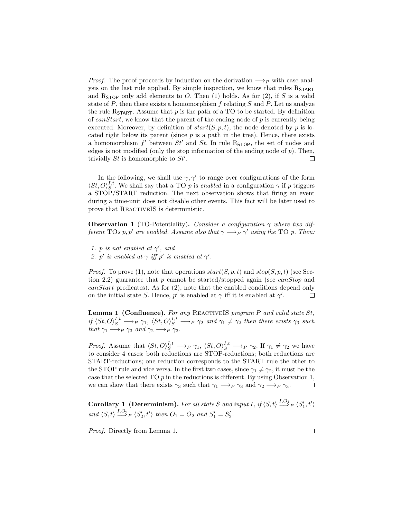*Proof.* The proof proceeds by induction on the derivation  $\longrightarrow_P$  with case analysis on the last rule applied. By simple inspection, we know that rules  $R_{\text{START}}$ and  $R_{\text{STOP}}$  only add elements to O. Then (1) holds. As for (2), if S is a valid state of  $P$ , then there exists a homomorphism  $f$  relating  $S$  and  $P$ . Let us analyze the rule R<sub>START</sub>. Assume that  $p$  is the path of a TO to be started. By definition of canStart, we know that the parent of the ending node of  $p$  is currently being executed. Moreover, by definition of  $start(S, p, t)$ , the node denoted by p is located right below its parent (since  $p$  is a path in the tree). Hence, there exists a homomorphism  $f'$  between  $St'$  and  $St$ . In rule R<sub>STOP</sub>, the set of nodes and edges is not modified (only the stop information of the ending node of  $p$ ). Then, trivially  $St$  is homomorphic to  $St'$ .  $\Box$ 

In the following, we shall use  $\gamma$ ,  $\gamma'$  to range over configurations of the form  $\langle St, O \rangle_S^{I,t}$ . We shall say that a TO p is enabled in a configuration  $\gamma$  if p triggers a STOP/START reduction. The next observation shows that firing an event during a time-unit does not disable other events. This fact will be later used to prove that REACTIVEIS is deterministic.

**Observation 1** (TO-Potentiality). Consider a configuration  $\gamma$  where two different TOs p, p' are enabled. Assume also that  $\gamma \rightarrow_P \gamma'$  using the TO p. Then:

- 1. p is not enabled at  $\gamma'$ , and
- 2. p' is enabled at  $\gamma$  iff p' is enabled at  $\gamma'$ .

*Proof.* To prove (1), note that operations  $start(S, p, t)$  and  $stop(S, p, t)$  (see Section 2.2) guarantee that p cannot be started/stopped again (see canStop and  $can Start$  predicates). As for  $(2)$ , note that the enabled conditions depend only on the initial state S. Hence, p' is enabled at  $\gamma$  iff it is enabled at  $\gamma'$ .  $\Box$ 

**Lemma 1 (Confluence).** For any REACTIVEIS program  $P$  and valid state  $St$ , if  $\langle St, O \rangle_S^{I,t} \longrightarrow_P \gamma_1$ ,  $\langle St, O \rangle_S^{I,t} \longrightarrow_P \gamma_2$  and  $\gamma_1 \neq \gamma_2$  then there exists  $\gamma_3$  such that  $\gamma_1 \longrightarrow_P \gamma_3$  and  $\gamma_2 \longrightarrow_P \gamma_3$ .

*Proof.* Assume that  $\langle St, O \rangle_S^{I,t} \longrightarrow_P \gamma_1$ ,  $\langle St, O \rangle_S^{I,t} \longrightarrow_P \gamma_2$ . If  $\gamma_1 \neq \gamma_2$  we have to consider 4 cases: both reductions are STOP-reductions; both reductions are START-reductions; one reduction corresponds to the START rule the other to the STOP rule and vice versa. In the first two cases, since  $\gamma_1 \neq \gamma_2$ , it must be the case that the selected TO  $p$  in the reductions is different. By using Observation 1, we can show that there exists  $\gamma_3$  such that  $\gamma_1 \longrightarrow_P \gamma_3$  and  $\gamma_2 \longrightarrow_P \gamma_3$ .  $\Box$ 

**Corollary 1** (Determinism). For all state S and input I, if  $\langle S, t \rangle \stackrel{I, O_1}{\Longrightarrow}_P \langle S_1', t' \rangle$ and  $\langle S, t \rangle \stackrel{I, O_2}{\Longrightarrow}_P \langle S_2', t' \rangle$  then  $O_1 = O_2$  and  $S_1' = S_2'$ .

Proof. Directly from Lemma 1.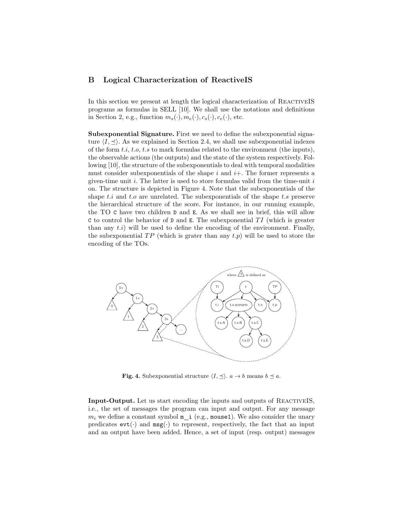# B Logical Characterization of ReactiveIS

In this section we present at length the logical characterization of ReactiveIS programs as formulas in SELL [10]. We shall use the notations and definitions in Section 2, e.g., function  $m_s(\cdot), m_e(\cdot), c_s(\cdot), c_e(\cdot)$ , etc.

Subexponential Signature. First we need to define the subexponential signature  $\langle I, \preceq \rangle$ . As we explained in Section 2.4, we shall use subexponential indexes of the form  $t.i, t.o, t.s$  to mark formulas related to the environment (the inputs), the observable actions (the outputs) and the state of the system respectively. Following [10], the structure of the subexponentials to deal with temporal modalities must consider subexponentials of the shape  $i$  and  $i$ +. The former represents a given-time unit  $i$ . The latter is used to store formulas valid from the time-unit  $i$ on. The structure is depicted in Figure 4. Note that the subexponentials of the shape t.i and t.o are unrelated. The subexponentials of the shape t.s preserve the hierarchical structure of the score. For instance, in our running example, the TO C have two children D and E. As we shall see in brief, this will allow C to control the behavior of  $D$  and E. The subexponential  $TI$  (which is greater than any  $t.i$ ) will be used to define the encoding of the environment. Finally, the subexponential  $TP$  (which is grater than any  $t.p$ ) will be used to store the encoding of the TOs.



**Fig. 4.** Subexponential structure  $\langle I, \preceq \rangle$ .  $a \to b$  means  $b \preceq a$ .

Input-Output. Let us start encoding the inputs and outputs of ReactiveIS, i.e., the set of messages the program can input and output. For any message  $m_i$  we define a constant symbol  $m$  i (e.g., mouse1). We also consider the unary predicates  $\text{evt}(\cdot)$  and  $\text{msg}(\cdot)$  to represent, respectively, the fact that an input and an output have been added. Hence, a set of input (resp. output) messages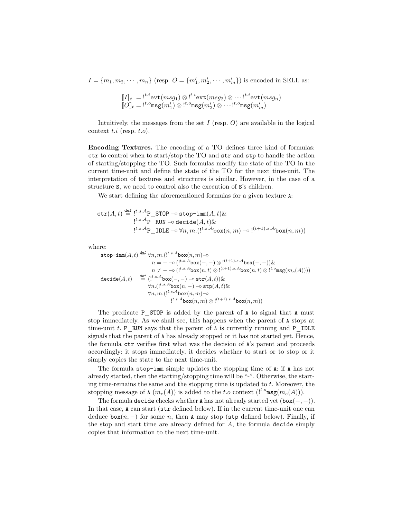$I = \{m_1, m_2, \dots, m_n\}$  (resp.  $O = \{m'_1, m'_2, \dots, m'_m\}$ ) is encoded in SELL as:

$$
\begin{aligned} \llbracket I \rrbracket_t &= \, t^{t.i} \texttt{evt}(msg_1) \otimes t^{t.i} \texttt{evt}(msg_2) \otimes \cdots t^{t.i} \texttt{evt}(msg_n) \\ \llbracket O \rrbracket_t &= \, t^{t.o} \texttt{msg}(m'_1) \otimes t^{t.o} \texttt{msg}(m'_2) \otimes \cdots t^{t.o} \texttt{msg}(m'_m) \end{aligned}
$$

Intuitively, the messages from the set  $I$  (resp.  $O$ ) are available in the logical context  $t.i$  (resp.  $t.o$ ).

Encoding Textures. The encoding of a TO defines three kind of formulas: ctr to control when to start/stop the TO and str and stp to handle the action of starting/stopping the TO. Such formulas modify the state of the TO in the current time-unit and define the state of the TO for the next time-unit. The interpretation of textures and structures is similar. However, in the case of a structure S, we need to control also the execution of S's children.

We start defining the aforementioned formulas for a given texture  $\Lambda$ :

$$
\begin{array}{l} \mathtt{ctr}(A,t) \stackrel{\mathtt{def}}{=} \underset{!^{t.s.A}\mathsf{P\_STOP}}{\underbrace{\phantom{~~\sum}}}\mathtt{STOP\_ stop-imm}(A,t)\&\\ \underset{!^{t.s.A}\mathsf{P\_ RUN}}{\underbrace{\phantom{~~\sum}}}\mathtt{decide}(A,t)\&\\ \underset{!^{t.s.A}\mathsf{P\_ IDLE}\multimap\forall n,m.(\text{$!^{t.s.A} \text{box}(n,m)\multimap !^{(t+1).s.A} \text{box}(n,m))} \end{array}
$$

where:

stop-imm(A, t) def = ∀n, m.(!t.s.Abox(n, m)−◦ n = − −◦ (!t.s.Abox(−, −) ⊗ ! (t+1).s.Abox(−, −))& n 6= − −◦ (!t.s.Abox(n, t) ⊗ ! (t+1).s.Abox(n, t) ⊗ ! t.o msg(me(A)))) decide(A, t) def = (!t.s.Abox(−, −) −◦ str(A, t))& ∀n.(!t.s.Abox(n, −) −◦ stp(A, t)& ∀n, m.(!t.s.Abox(n, m)−◦ ! t.s.Abox(n, m) ⊗ ! (t+1).s.Abox(n, m))

The predicate P STOP is added by the parent of A to signal that A must stop immediately. As we shall see, this happens when the parent of A stops at time-unit  $t$ . P RUN says that the parent of A is currently running and P IDLE signals that the parent of A has already stopped or it has not started yet. Hence, the formula ctr verifies first what was the decision of A's parent and proceeds accordingly: it stops immediately, it decides whether to start or to stop or it simply copies the state to the next time-unit.

The formula stop-imm simple updates the stopping time of A: if A has not already started, then the starting/stopping time will be "-". Otherwise, the starting time-remains the same and the stopping time is updated to  $t$ . Moreover, the stopping message of **A**  $(m_e(A))$  is added to the t.o context  $($ !<sup>t.o</sup>msg $(m_e(A))$ .

The formula decide checks whether A has not already started yet  $(box(-, -))$ . In that case, A can start (str defined below). If in the current time-unit one can deduce  $\mathtt{box}(n,-)$  for some n, then A may stop (stp defined below). Finally, if the stop and start time are already defined for  $A$ , the formula decide simply copies that information to the next time-unit.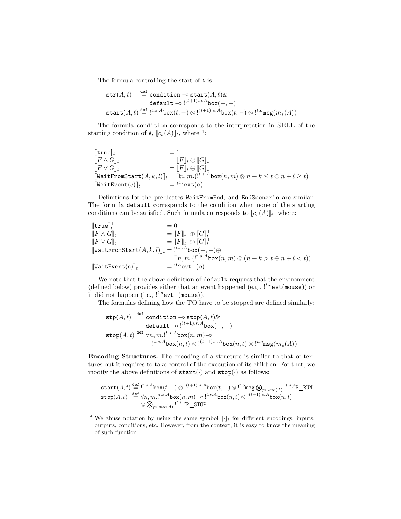The formula controlling the start of A is:

$$
\begin{array}{rl} \texttt{str}(A,t) & \stackrel{\text{def}}{=} \texttt{condition} - \texttt{start}(A,t) \& \\ & \texttt{default} - \circ !^{(t+1).s.A} \texttt{box}(-,-) \\ & \texttt{start}(A,t) \stackrel{\text{def}}{=} !^{t.s.A} \texttt{box}(t,-) \otimes !^{(t+1).s.A} \texttt{box}(t,-) \otimes !^{t.o} \texttt{msg}(m_s(A)) \end{array}
$$

The formula condition corresponds to the interpretation in SELL of the starting condition of **A**,  $[\![c_s(A)]\!]_t$ , where <sup>4</sup>:

$$
\begin{array}{lll} [\![\texttt{true}]\!]_t &= 1 \\ \begin{array}{lll} [\![F \wedge G]\!]_t &= [\![F]\!]_t \otimes [\![G]\!]_t \\ \hline [\![F \vee G]\!]_t &= [\![F]\!]_t \oplus [\![G]\!]_t \\ \hline \begin{array}{lll} [\![\texttt{WaitFromStart}(A, k, l)]]\!]_t &= \exists n, m. ( \texttt{!}^{t.s. A} \texttt{box}(n, m) \otimes n + k \leq t \otimes n + l \geq t ) \\ \hline [\![\texttt{WaitEvent}(e)]\!]_t &= \texttt{!}^{t.i} \texttt{evt}(e) \end{array} \end{array}
$$

Definitions for the predicates WaitFromEnd, and EndScenario are similar. The formula default corresponds to the condition when none of the starting conditions can be satisfied. Such formula corresponds to  $[[c_s(A)]]_t^{\perp}$  where:

$$
\begin{array}{lll}\n[\texttt{true}]_t^{\perp} & = 0 & \\
[F \wedge G]_t & = [F]_t^{\perp} \oplus [G]_t^{\perp} & \\
[F \vee G]_t & = [F]_t^{\perp} \otimes [G]_t^{\perp} & \\
[\texttt{WaitFromStart}(A, k, l)]_t = \, \stackrel{!^{t.s. A} \texttt{box}(-, -) \oplus }{\exists n, m. (\stackrel{!^{t.s. A} \texttt{box}(n, m) \otimes (n + k > t \oplus n + l < t))}\n\end{array}
$$
\n
$$
\begin{array}{lll}\n[\texttt{WaitEvent}(e)]_t & = \, \stackrel{!^{t.i}.s.A} \texttt{box}(n, m) \otimes (n + k > t \oplus n + l < t)\n\end{array}
$$

We note that the above definition of default requires that the environment (defined below) provides either that an event happened (e.g.,  $\mathfrak{l}^{t.s}$ evt(mouse)) or it did not happen (i.e.,  $!^{t.s}$ evt⊥(mouse)).

The formulas defining how the TO have to be stopped are defined similarly:

$$
\begin{array}{rl} \mathtt{stp}(A,t)&\stackrel{\mathtt{def}}{=}\mathtt{condition}\multimap \mathtt{stop}(A,t)\&\\ \mathtt{default}\multimap !^{(t+1).s.A}\mathtt{box}(-,-)\\ \mathtt{stop}(A,t)&\stackrel{\mathtt{def}}{=}\forall n,m. !^{t.s.A}\mathtt{box}(n,m)\multimap\\ &\quad !^{t.s.A}\mathtt{box}(n,t)\otimes !^{(t+1).s.A}\mathtt{box}(n,t)\otimes !^{t.o}\mathtt{msg}(m_e(A)) \end{array}
$$

Encoding Structures. The encoding of a structure is similar to that of textures but it requires to take control of the execution of its children. For that, we modify the above definitions of  $start(\cdot)$  and  $stop(\cdot)$  as follows:

$$
\begin{array}{rl} \texttt{start}(A,t) \stackrel{\text{def}}{=} \, {}^{t.s.A}\texttt{box}(t,-)\otimes \, {}^{(t+1).s.A}\texttt{box}(t,-)\otimes \, {}^{t.o}\texttt{msg}\bigotimes_{p\in suc(A)} \, {}^{t.s.p}\texttt{P\_RUN}\\ \texttt{stop}(A,t) \stackrel{\text{def}}{=} \forall n,m. \, {}^{t.s.A}\texttt{box}(n,m)\multimap \, {}^{t.s.A}\texttt{box}(n,t)\otimes \, {}^{(t+1).s.A}\texttt{box}(n,t)\\ \quad \otimes \bigotimes_{p\in suc(A)} \, {}^{t.s.p}\texttt{P\_STOP} \end{array}
$$

<sup>&</sup>lt;sup>4</sup> We abuse notation by using the same symbol  $\llbracket \cdot \rrbracket_t$  for different encodings: inputs, outputs, conditions, etc. However, from the context, it is easy to know the meaning of such function.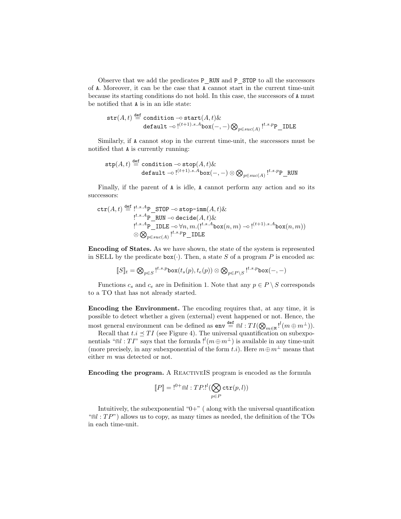Observe that we add the predicates P\_RUN and P\_STOP to all the successors of A. Moreover, it can be the case that A cannot start in the current time-unit because its starting conditions do not hold. In this case, the successors of A must be notified that A is in an idle state:

$$
\begin{aligned} \texttt{str}(A, t) & \stackrel{\text{def}}{=} \text{condition} - \text{o} \text{ start}(A, t) \& \\ \texttt{default} - \text{o} \cdot \text{!}^{(t+1).s.A} \text{box}(-, -) \bigotimes_{p \in suc(A)} \text{!}^{t.s.p} \text{P\_IDLE} \end{aligned}
$$

Similarly, if A cannot stop in the current time-unit, the successors must be notified that A is currently running:

$$
\begin{array}{c} \mathtt{stp}(A,t) \stackrel{\text{def}}{=} \mathtt{condition} - \mathtt{stop}(A,t) \& \\ \mathtt{default} - \mathtt{!}^{(t+1).s.A} \mathtt{box}(-,-) \otimes \bigotimes_{p \in succ(A)} \mathtt{!}^{t.s.p} \mathtt{P\_RUN} \end{array}
$$

Finally, if the parent of A is idle, A cannot perform any action and so its successors:

$$
\operatorname{ctr}(A,t) \stackrel{\text{def}}{=} \underbrace{!^{t.s.A}P\_STOP \multimap stop-imm(A,t) \&}_{!^{t.s.A}P\_ RUN \multimap decide(A,t) \&}_{!^{t.s.A}P\_ IDLE \multimap \forall n, m.} \underbrace{!^{t.s.A}p_{\text{max}} \wedge (n, m) \multimap !^{(t+1).s.A} box(n, m))}_{\otimes \bigotimes_{p \in succ(A)} \underbrace{!^{t.s.p}P\_ IDLE}_{}
$$

Encoding of States. As we have shown, the state of the system is represented in SELL by the predicate  $\text{box}(\cdot)$ . Then, a state S of a program P is encoded as:

$$
[\![S]\!]_t = \bigotimes_{p \in S} \mathsf{L}^{t.s.p} \text{box}(t_s(p), t_e(p)) \otimes \bigotimes_{p \in P \setminus S} \mathsf{L}^{t.s.p} \text{box}(-,-)
$$

Functions  $c_s$  and  $c_e$  are in Definition 1. Note that any  $p \in P \setminus S$  corresponds to a TO that has not already started.

Encoding the Environment. The encoding requires that, at any time, it is possible to detect whether a given (external) event happened or not. Hence, the most general environment can be defined as  $env \stackrel{\text{def}}{=} \text{ind} : TI(\bigotimes_{m \in M} !^{l}(m \oplus m^{\perp})).$ 

Recall that  $t.i \leq TI$  (see Figure 4). The universal quantification on subexponentials " $\mathbb{R}l$  : TI" says that the formula  $l^{l}(m \oplus m^{\perp})$  is available in any time-unit (more precisely, in any subexponential of the form  $t.i$ ). Here  $m \oplus m^{\perp}$  means that either m was detected or not.

Encoding the program. A REACTIVEIS program is encoded as the formula

$$
[\![P]\!] = \mathsf{I}^{0+} \cap l : TP \mathsf{I}^l (\bigotimes_{p \in P} \mathtt{ctr}(p,l))
$$

Intuitively, the subexponential " $0+$ " (along with the universal quantification " $\mathbb{R}$  :  $TP$ ") allows us to copy, as many times as needed, the definition of the TOs in each time-unit.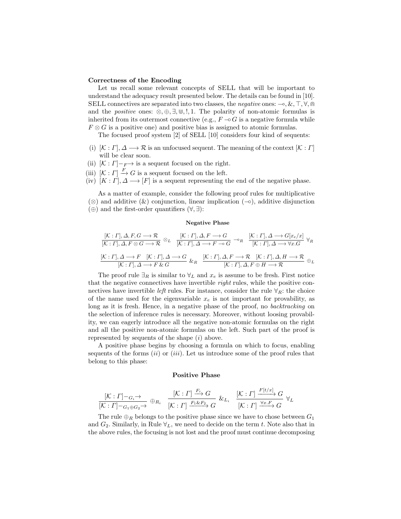#### Correctness of the Encoding

Let us recall some relevant concepts of SELL that will be important to understand the adequacy result presented below. The details can be found in [10]. SELL connectives are separated into two classes, the *negative* ones:  $-\infty$ , &, T,  $\forall$ ,  $\cap$ and the *positive* ones:  $\otimes$ ,  $\oplus$ ,  $\exists$ ,  $\oplus$ ,  $\vdots$ ,  $\vdots$ . The polarity of non-atomic formulas is inherited from its outermost connective (e.g.,  $F \sim G$  is a negative formula while  $F \otimes G$  is a positive one) and positive bias is assigned to atomic formulas.

The focused proof system [2] of SELL [10] considers four kind of sequents:

- (i)  $[K: \Gamma], \Delta \longrightarrow \mathcal{R}$  is an unfocused sequent. The meaning of the context  $[K: \Gamma]$ will be clear soon.
- (ii)  $[\mathcal{K}: \Gamma]$   $_F$  is a sequent focused on the right.
- (iii)  $[\mathcal{K}: \Gamma] \stackrel{F}{\to} G$  is a sequent focused on the left.
- (iv)  $[K: \Gamma], \Delta \longrightarrow [F]$  is a sequent representing the end of the negative phase.

As a matter of example, consider the following proof rules for multiplicative (⊗) and additive  $(x)$  conjunction, linear implication  $(¬·)$ , additive disjunction  $(\oplus)$  and the first-order quantifiers  $(\forall, \exists)$ :

#### Negative Phase

$$
\frac{[K:\Gamma], \Delta, F, G \longrightarrow \mathcal{R}}{[K:\Gamma], \Delta, F \otimes G \longrightarrow \mathcal{R}} \otimes_L \frac{[K:\Gamma], \Delta, F \longrightarrow G}{[K:\Gamma], \Delta \longrightarrow F \longrightarrow G} \longrightarrow_R \frac{[K:\Gamma], \Delta \longrightarrow G[x_e/x]}{[K:\Gamma], \Delta \longrightarrow \forall x.G} \forall_R
$$
  

$$
\frac{[K:\Gamma], \Delta \longrightarrow F \quad [K:\Gamma], \Delta \longrightarrow G}{[K:\Gamma], \Delta \longrightarrow F \& G} \&_R \frac{[K:\Gamma], \Delta, F \longrightarrow \mathcal{R} \quad [K:\Gamma], \Delta, H \longrightarrow \mathcal{R}}{[K:\Gamma], \Delta, F \oplus H \longrightarrow \mathcal{R}} \oplus_L
$$

The proof rule  $\exists_R$  is similar to  $\forall_L$  and  $x_e$  is assume to be fresh. First notice that the negative connectives have invertible right rules, while the positive connectives have invertible *left* rules. For instance, consider the rule  $\forall_R$ : the choice of the name used for the eigenvariable  $x_e$  is not important for provability, as long as it is fresh. Hence, in a negative phase of the proof, no *backtracking* on the selection of inference rules is necessary. Moreover, without loosing provability, we can eagerly introduce all the negative non-atomic formulas on the right and all the positive non-atomic formulas on the left. Such part of the proof is represented by sequents of the shape  $(i)$  above.

A positive phase begins by choosing a formula on which to focus, enabling sequents of the forms  $(ii)$  or  $(iii)$ . Let us introduce some of the proof rules that belong to this phase:

#### Positive Phase

$$
\frac{[\mathcal{K}: \Gamma] - G_i \to}{[\mathcal{K}: \Gamma] - G_1 \oplus G_2} \oplus_{R_i} \quad \frac{[\mathcal{K}: \Gamma] \xrightarrow{F_i} G}{[\mathcal{K}: \Gamma] \xrightarrow{F_1 \& F_2} G} \& L_i \quad \frac{[\mathcal{K}: \Gamma] \xrightarrow{F[t/x]} G}{[\mathcal{K}: \Gamma] \xrightarrow{\forall x. F} G} \forall_L
$$

The rule  $\oplus_R$  belongs to the positive phase since we have to chose between  $G_1$ and  $G_2$ . Similarly, in Rule  $\forall_L$ , we need to decide on the term t. Note also that in the above rules, the focusing is not lost and the proof must continue decomposing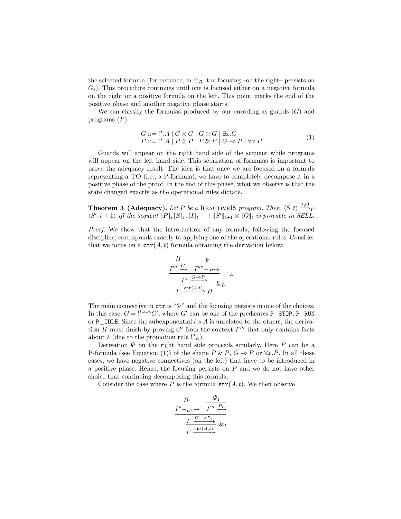the selected formula (for instance, in  $\oplus_R$ , the focusing –on the right– persists on  $G_i$ ). This procedure continues until one is focused either on a negative formula on the right or a positive formula on the left. This point marks the end of the positive phase and another negative phase starts.

We can classify the formulas produced by our encoding as guards  $(G)$  and programs  $(P)$ :

$$
G ::= \n \begin{array}{l}\n \stackrel{\cdot}{\cdot} &= \n \cdot \stackrel{\cdot}{\cdot} & A \mid G \otimes G \mid G \oplus G \mid \exists x. G \\
 P ::= \n \begin{array}{l}\n \cdot &= \n \cdot \stackrel{\cdot}{\cdot} & A \mid P \otimes P \mid P \& P \mid G \multimap P \mid \forall x. P\n \end{array}\n \end{array}\n \tag{1}
$$

Guards will appear on the right hand side of the sequent while programs will appear on the left hand side. This separation of formulas is important to prove the adequacy result. The idea is that once we are focused on a formula representing a TO (i.e., a P-formula), we have to completely decompose it in a positive phase of the proof. In the end of this phase, what we observe is that the state changed exactly as the operational rules dictate.

**Theorem 3 (Adequacy).** Let P be a REACTIVEIS program. Then,  $\langle S, t \rangle \stackrel{I, O}{\Longrightarrow}_P$  $\langle S', t+1 \rangle$  iff the sequent  $[P], [S]_t, [I]_t \longrightarrow [S']_{t+1} \otimes [O]_t$  is provable in SELL.

Proof. We show that the introduction of any formula, following the focused discipline, corresponds exactly to applying one of the operational rules. Consider that we focus on a  $\texttt{ctr}(A, t)$  formula obtaining the derivation below:

$$
\frac{\frac{\Pi}{\Gamma'' \xrightarrow{G}} \frac{\Psi}{\Gamma''' - P \to}}{\frac{\Gamma' \xrightarrow{G \to P}}{\Gamma \xrightarrow{\text{ctr}(A,t)} H} \&L}
$$

The main connective in  $\texttt{ctr}$  is " $\&$ " and the focusing persists in one of the choices. In this case,  $G =$  !<sup>t.s.A</sup>G', where G' can be one of the predicates P\_STOP, P\_RUN or  $P$  IDLE. Since the subexponential  $t.s.A$  is unrelated to the others, the derivation  $\Pi$  must finish by proving  $G'$  from the context  $\Gamma'''$  that only contains facts about A (due to the promotion rule  $\binom{s}{R}$ ).

Derivation  $\Psi$  on the right hand side proceeds similarly. Here P can be a P-formula (see Equation (1)) of the shape  $P \& P, G \neg P$  or  $\forall x.P.$  In all these cases, we have negative connectives (on the left) that have to be introduced in a positive phase. Hence, the focusing persists on  $P$  and we do not have other choice that continuing decomposing this formula.

Consider the case where P is the formula  $str(A, t)$ . We then observe

$$
\begin{aligned}\n\frac{\Pi_1}{\frac{\varGamma'-_{G_1}\to}{\varGamma''}\xrightarrow{P_1}\varGamma''\xrightarrow{P_1}} \\
\frac{\varGamma\xrightarrow{G_1\to P_1}\xi}{\varGamma\xrightarrow{\text{str}(A,t)}}\ \&L\end{aligned}
$$